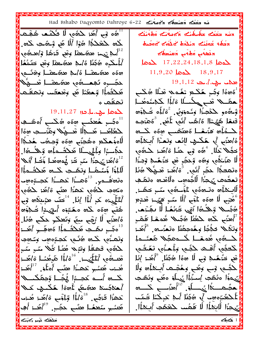Had Bshabo Daqyomto Dahroye 6-22 مَنْ مَتَمَتْكُمْ Had Bshabo Daqyomto Dahroye 6-22  $\sim$  وَٰ إِلَيْهِ  $\sim$  وَٰ اللّٰهَ عَلَيْهِ اللّٰہَ عَلَيْهِ  $\sim$ حثلاً وهو حتى الله المستقرر المستقرر المستقرر المستقرر لَّكُلُّهِ لِلْتَعْلَيُّةُ الْمُوَّا أَلَّا هُمْ وُّمْعُتِ لَكُلُّهِ. للمفرط الأكار المحاس المناسف والمناء رەڤىگا ۋىس كەنلارنى كېنى ئىرگا $\tilde{t}^{12}$ محاسب معاش بأمام مأنها ٱلْمُكْبِرِهِ ۞كُمُا ۞ُالِّهِ هِيهَ عَظَا وَهْدٍ حَمَّمُهُا ۖ  $\Delta$  17.22.24.18.1.8 وه مده معنى الله مده معنى وهندم  $11.9.20$   $\Delta$   $18.9.17$ حجَّــبِه تَجمـــةُم، هةَعشــا مْـــوْلا  $19.1.12$  محلمہ مہین ہے۔ أەەەُ وَجَمِ هَكُمْ تَعْمَىٰ قَبْلًا شَكْب هَٰلِكُماا وَحِمَدُا هُي وَهُحَمَّبٍ وَتَعَفَّـم း ဇဓိဝေါ وَّحْدُو كُنْجِزًا وَحُووَوِبُ.  $\hat{\mathcal{S}}$ الَمَاه كُلاؤه <u>لمحمل للم المرار 19.11.27</u> <del>ثَنقا هَيُ</del>يْتاا هَ/هُب أَنُّم نُأْهُى وَهُ مَنْجِد أَوكَــِ هُعنْنَـــ وَوَو هُكْنَــ أَوْشَــفِ لِحْعَلِهُـــ: هَــــــمِلْل هَــــمُبِلا وَهَّزَــــبِ 160 لمستقدم وتكمين معتكم مناسب معالم لْلُهِ مَكْمِرٍ هِ هُجِبٌ وَهُمْ وَجِبُهُمْ هُدِيْهِ ا هُاهِنَى ﴾ هَكْسِ لِإِنْمٍ وَتَعَبَّا أَبْتِكَلِّهِ حَفِّلًا كُلًّا. 'ُهُه فِي حَبًّا وْاهُدَ حَــوْهِ) حكَمِبُرا وِلْمِلِيكُما هَدْتُـولُمِ وَجِدْتُوا.  $N$ الَّذَةَ اللهُ اللهُ مَنْ يَدَ أَبْصِينَ  $\int_0^{12}$ لًا هَزَنكُم وَوَى وَحَجَرٍ هَي حَنَّـهُـبِ وَجــٰزًا هِ تَعْجَلُ حَجَّرٍ ٱللَّهِ , <sup>قَ</sup>هَ/هُـ: شَـهُـلاً هُنُا لَّالِمُوْا وَُسَّمُط وَتَمَّدِ كُلُّهِ مَكْشُولًا وتوه هُـــمبر ۽  $\mathfrak{so}^{13}$ هـــزُا گھـــزووي تَمثُوم مَكَالًا مِنْ ابْجِرْ: وَلَقَدْ مَتَمَّف لَّابِـٰهَا وَالْـِهَوْمِ لِأُوْـِـهُو مِنْــرٍ حَمَّــ; ومُحدٍ لِحَدُّوبٍ تَعْمُرُا هِنَّمٍ وَأَهَدٍ لِحَدُّوبٍ أَمْلَيْهِمْ مَمْ إِلَمَا إِنَا. "حَبّ هِبْسِلاً و فِي أَهْبَى لَمْ مِهَمْ لَمْهَى أَلَّمَا مَئِي تَحَكِّيءَ هُدْمٍ هُنْبٌ ٥٥٥ لَكُ مِعْيَوْهِ أَسْرَيْهِ الْحَكِمْوَ رُّهُجُمِلًا ۖ وَلِلْأَرُوا ۖ أَيْنِ خَرْبُهُمَا لَمَّا بِجَنْهِمْ ۖ وَ ەُ/ھزَىپ لَّا رُجْب مِنَى وِنَعكَبِ حكْبِ رَهُنَا. أَهْنَى كَلُّهَ كَعُ*نُ*ا هُجُىلًا شُمِعًا فَقَمِ أَهجُــِ بِمَعْــَبِ هُكِثُــهِ إُلَّا هُ∞هَــِرِ ٱهُـــز وَتَكْلا فَجُدًا وَحُوجِعُنًا وَتَعَزَّدُو ۚ أُأَهَٰذَ لهُ مِنْ هُوَهُما يُحْسَوهُ لَا هُمُسُولِ وتَعَدُّى كُلُّه هُنُّى كَجِبُّەهِ- وَخُلَّهِ كَتَجْمَعُ أَكْسَدَ بِمَبْتَكِ فَكَنْ مَحْشَى الْمَسْتَدَى لِمَثْمِ فَعَقُلَ وَتَبْلُا قُلْلا مَّا مَكْمَ مَّا مَّا<br>قُسْرَهُمْ ٱلْمَلَّٰبُ : <sup>46</sup>اللَّهُ الْمَرْفُعُـا وْإِهْـ: هُم حَنَّمَهِ فِي لًا هذا هُجُمَّا. "أَهَد: إِبَّا َكْثِـُـهِ ۚ وَمِــ وَهُــِ وَـمُثَــِـّتُ أَيــٰكَلَّاهِ ۚ وَلَا الْكَيْحَةُ الْمَشْتَبَعَ الْمَسْتَمِّلَ الْكَيْلَةِ ۚ وَهُمْ يَوْمُشُحَبَّ كْتُ: أَسْتَ كُجِسْرًا هُجُسًا وَجَعَكْنَتُمْلَا مجَمع خُلابي أو. "أهنَّب كَسْمَ أهلاجُمند هدهُمعُ أَ30 هُكْمَنِي كَمَلا لْمَحْمَدِّوِي ۚ ﴾ 5ُمَلَا أَسْمِ تَبِكُنَا ضَبَّ لَّحْمَٰٓۥٗا ۖ ثَابَکُۖ بِ ۚ ۚ وَٛ *ا*ٰٓ اُلَّا ۖ وَۡ اِنَّی ۖ وَ اُهٗـٰ ۚ وَۡ اُسۡ مَـٰٓ ن هَٰننُـبر مَعْهَـٰا هنَّـب حجَّــٰٓ. أَأَهَٰـٰٓ: أُڢ أَيُجِزًا لَلْنَحْبُلَ لَا فَعُبِ حَعْمَدٍ أَنَجْبُل بَحْلُهُ مَهْمٍ بَهُوْ مِكْتُمَ  $\sqrt{4\pi^2}$  1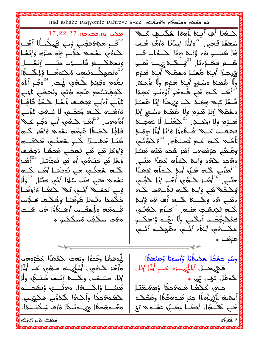Had Bshabo Daqyomto Dahroye 6-22 مَنْ مَتَمَتْكُمْ Had Bshabo Daqyomto Dahroye 6-22 لْمُحَمَّلُ أَبَّ أَبِنَا £1ô0 هَكْسَنِي كَمَلًا  $17.22.27$   $11.22.37$ َّکُّـہٖ شَدْهُ ْعَجُّـب ﴾ فِ کُهجُّـــُّلاً ٱهُـــۃ مَعْمَا ثَرْبَّى  $\lambda^{20}$ اْ إِسْزَنَا  $\delta$ اهُز هُـزم لَّكُوبٍ يَعْمَدُ حَذِّبٍ وَهُوَ حَـٰٓوَى وَإِنَّعَٰـا هَٰا هُنسُبِ هَٰهِ وَٱللَّهِ هِهَٰا لِمَسْمَٰلِ فَسِيرِ گىلەر خېشۇەلل تۇسكىي ئېمىز قىلېر أمْتَعِهِكُـــمُنُـمَت هَـكَـمَعُـــا وَلِمُكْـــــهُا فَيُحِبُّوا أَسَمْ هَمْسًا مِعْصَلاً أَسَمْ شَوْمٍ  $\sum_{i=1}^{\infty} a_i^2$ بْ مِنْكُمْ  $\sum_{i=1}^{\infty} b_i^2$ و مُنْكِبْتِ لَيْتَمْ وَلًا هُعنا مِسْتِي أَبِنا شَبْعٍ وَلًا اذْهَبَا. أَهُد: كُــُرُه مْــِ ۚ فُــٰدَهُبِنِ ٱوۡٓدَابِ كَجِــٰٓءُۭا $\ell^{22}$ لَكَجِفَائِسُهُمْ هَاْجِهِ هُنُهِ، وَنُعَصَّبِ لَمْقَبِ لْمُوْبِ أَهَٱبِ وَجِعْدِ وَّهُـا كَــٰمَا كَاهُـا تَسِعُلْ يُرِيدُ مَنْ هَذَا اللَّهِ عَلَى مِنْ الْمُعَالِمِينَ مِنْ ةَ اهَــزه كَـــره وَّحَجَّــمٍ لَّا مُـــرْهُجَ لِمُوَّــبٍ هِ هُقْلاً إِنَّا مُدْمٍ وَلَّا هُمْدًا مِنْتُومٍ إِنَّا الْمَاهِ مِنْ أَنْهُدْ لِمَدْهُمِ أَبِي مِجْمِ كَمِلاً هْدْمٍ وَلَا أَوْتَحِيمٍ.  $^{23}$ حْمُنُط لَّا يَهْدِجَ تحمقت كتلا فُجُودُ وَاطُ أَبْلَ مَعْمِ ثَاجُا حجَّىٰدًا هُرمُدِه عَفْمِد 16مَّ: حَد  $\lambda$ اَجَــلا كَــلاه كَـــلا وْتـــمْلْهِ،  $\delta^{24}$ دْهُنَــم هُئا هُجْتِ أَ كُبِرٍ هُعِنُـمٍ مَحْتَـبِهِ وَّاءَكَا هُــ مَّــ نُعصُّــ مَّدِهَٰـا هَدهَـڢ وهُىعُم هزْهُدەهِ۔ أَهُدْ هُجِه هُنْه هُنْدًا نَّهُا هَم حَسُوَّى أَه هَي نُوجُوْسًا.  $\int_0^{26}$ هُ: ههَجم لههُم وُالِم للمُلَمِ تَعْمُرُا هِنَبٍ. <sup>25</sup>اُهنَّب كُلم هُــَنَ، أَلـهِ للــهُ.إَه تَدهــَٰ;ا<br>هنَّب ، <sup>26</sup>اُهَــز للـــوَّه، أُهَــز إنَّا للجَّــه، كَـــهِ ــقَعْدُــهِ شَمْ شُمْئَتَــا أُهُـــز كَـــم  $\mathring{\mu}_{\mathbf{y}}^{2}$  مُجْرِحٍ حَنَّدٍ مَثَارًا  $\mathring{\mathfrak{f}}$ فَعَلَّا  $\mathring{\mathfrak{g}}$ ولًا وْبِ نَجِمْـبِلا أَنَّـهِ آبِلا ۖ لِمُتَعَبِّ أَوْهُـبِ وَجُلْدُ هُمْ وَجُمْعَ كَلْمَ تَجُمْعَ مَدْ الْمَدْ تَكْدَدُا ونُـوبُا هَـرِهُـُـا وهُكْـم فـكِلِّب ەقىس ۋە بېڭىمىنلا كىسى أب ۋە ۋاپىل لَّكْنُ تَجْتَشَدُو مُنْتَسِي آَ تُحَبُّوا لِكُوَّشُولَ ُقَــوهُــوهِ وَلَمِعَــُــب أَهــٰكُلُواْ وَهَـٰ هَــب ەھَجا مىڭگە ھىمگگېنو ھ حَكَىٰ رُجُّے ۖ أَمكْبٍ وَلَا رَجَّے وَّامِكْسِ حكْسةُ مِ أَخِذُهِ أَنْسَمٍ وهُهْكُسُ أَنْسَمٍ  $\sim$  مُرَمَّد  $\sim$ ومئر حمّجًا حدَّثَكُمْ وَاستُتَا وَهنُعِدًا لْمَعْمَا وِدَّتْا وِمَّەم ݣْدْهَٰا كَتْجَوەم هِ أَهَٰذِ حَدَّةِ مِنْ أَلْمَلِّيْ ذِهِ حَدَّةِ مِنْ مَمْ أَلْمَا فَحِيْهِمَا. أَمْلَيُّ زِهِ كَبِ أَمْلًا إِنَّا. إِنَّا. دَمَنْـدُب. وِكْـــدا إِنْــف كَـنُـكِّلِ وِلْا گەمُل ئېي ئ حثى مُحْمَدا مُحمَّدهُ أوْمِحَمَّدَ لمعَدهُمَا وأَكْدُا كَلاَنِ هَكَيُبٍ. أَحْدَثَ لَمُ يُوَمُّا حَمَّ هُـوقَحُمَّا وِصَّحْدُه قب كَلُّـْهَا. أَنْقُـا وِهُــَ نُهُــٰهَ يُوْ وَ ەھَــەھَداْ ئەسەئىدا ەُ/ف ۋىڭئىىدا. بَدْيُمُكُمْ يَهْدِ بَدَيْهُمْ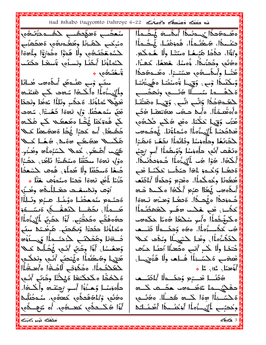Had Bshabo Daqyomto Dahroye 6-22 المناسبة المستحكم بتعليم المستحكم بمن

الْمِسْمَىٰ مَسْلَمًا الْمَنْصِرِ الْمَعْ صَفْرَه مُعصَّب ەَھۈَدەَـب كەشــەكتْشەھَە حْنُــٰـٰها، ھَــغُنَّـٰـٰہ اُ، فُـُوحُنُــا، لَمِـضُــٰہ اُا ەئېگىم للطَّائا وھَھْـەلھُە كَاھكَـعْنُـم واوّْأا، حدّْحُل هُبُعُما مِمّتْلِ ولَّا حُـمكم. لِّسْمَعْطُنُهُم وَلَا فَوَوْا مِدْوَوْا وِلَمْ10\$ هِ هُنَّى وَحَدَّبَــدًا. وُهِـيَا، هَعْـمَا، جَـعــرًا، لْحُثُمَاؤُنُا أَمْثَلُا وِتَسَأُونِ وَمَنْقَا حَكْتَبَ  $\cdot$   $\cdot$   $\circ$   $\circ$   $\cdot$   $\cdot$   $\cdot$   $\cdot$   $\cdot$ هَتُــا وأَحدُّـــوهُ مِسْتَــْمِ ا. وهُـــوهُدمُا مِنِّے وَبِ هِنُـمِیْ أَبْذُهِ هُـائا<br>مِلَّایُــزُه اُلْــدُه الْــــه حَــــد مَّــــدِّ هِــَــدُه وَّىكْتُمْ أَ وَبِ . وَقِيْهَا قُومُتُمْ الْمَيْتُوْسَ كَذَّهُ عَلَمَ مُسْسًلًا هُنَّسَمٍ ونُعَصُّبِ هْجُلًا شَمَاؤُنُا. هَٰحَكَّى وِنَالْمَا عَاهُا وَتَحَدَّا لِكُمُوقَاهُمْ الْمُ اللَّهِ . وَقِيْ الْمَعْشَاءُ هْلُمْ مُدْهَدُلاً. وْلِي نْهِدْا كَمُمْتْزَا. سُهْد ە مەتھىلگەن ھەم ھەم ئىھىلى ئەك كُمْ فُوَجُنَا هُشَا ومُعصَّلًا كُمْ مُكْتُو هُتُو وَتِي كَذَٰنَا. هُمْ هُكُمْ شُكْمَوْهِ، حَشَمُا. أَ؎ كَحرُا لُمَا هَ مِهَ مِمْا كَــلا أَهْلاَكْتُمْ لَمَّايُنْ وَالْمَدْوَنَا، فَيُوَكِّدُ الْمُحَدِّدِة كَكَسِلًا مِدْهُمْكَمِ مِهْدًا. شُهْرًا كَسَلًا َحْدَبُهُا وحِلُّونِمُا وَكُلُّمَاْ لِكُمِّ: وَلَكُمْ الْمَمَّادِ ِ مَنْفَعِد أَنَّهِ ۖ حَأَوْمَئِنَا ۚ وَأَوُّبِـعُمَا ۖ أَس رُحِبُ هَّنَى أَهَمْعُو. نُدملا لمَسَّزْه أَه وهُــزُو. وْلِي نَوْوْا مِكْتُبًا مِمْعُمْتْ أَمَّاهُمْ: ۚ حَصُرُ |أَلَكْتُهْ|. شُوْا شَى لَمْ يُرْدَءُاْ شُدَوْحَدُّنُـٰدَاْ. حُىعُا هَمكُسُّا وِلًا هُدَاًوْ. فُدِعَ حَسْمَدًا ەَحھُـا وَٱكْـــەو اھْا حَمَّمَّـــز تَـكْـُــا قَب كُنُّمُا لَمُّي تَمَوَّا حَصُّا مِنُوخُف هَنَّا ﴾ هُعثَمَلُا وِكُمكُماًا. مَعْرَم وَحكَمالًا ٱلْمَطَّعَد ٱوْهَا وِلْكَمِنْقَسْتَ حَقْلِلُمْلَاهِ وَهُنَّىٰ أَحدُه من لَهُمُاا هَزِم أَحْدُهُا مَكْــدا تَــه ەَحنُـەم مەُھھلُـا ەوَّىلُـا. ھــرُم وِنَــالْمَا حُــودها وهُـــــها. هُـصُــا وْهــْزْه تـــهةا هُـــواًا. بِكُمْــا كِنُعَفُــكَ وَبِنَيــوَذِ كَذُبَ: شَي هَكَبَ «فَبِ كَعْتِفَقْتُمَلَّا ەڭرۇڭمال ەآس شىلغا شەئا ھگەھب حَدُّهُ وَهُنَّى وَحَدَثُهُمْ. أَوَّا حَضَرَبُ لَمَّانُ أَوْلَمَا هِ ثَمَاؤُنُا حَثَحَتْوَا وَبِنَفَجِبَ. هَٰٓبِعُجُمْ مِنَّے ھُ۔ كَكَسْزُهِ أَا. وَهُو وُحكَسْوَلًا ثَسْبُ لحَكَمُّتُومُّاً. وهُـا لحَسْبِيطُا ومُكْفِّ كَــلا صُــةِنْا ومَُصْلَبِ لِمُنشَـهِـلَا يَحْسَاْوُه وَهمْسُلْ. أَوَّا وِحَتِّ أَنَّمِ لُحُـلَّـهِ كَــلا حٌتمْا وِلًا حُبِ أَنْبِ وكَعِبُلا آِصُا حَزَم هَيْتِهَا وِهَمِعْتُمَاْ الْمَثْمَةِ وَالْمَسْمَعِينَ مِنْ الْمَسْمَعِينَ هْدهْبِ هَكْسُـزْأَا هُـام ولًا هَٰتُوهِيْـا. لْحَكَنْـْـماُا. ەحُكَوْنَـى لَّاحُــرْثَا ە $\delta$ ھــرْثُماُا أَأَوْهِمْلَ. ثَلابٌ ثَلُ \* مَحْمَٰثًا مكْحَكْتَهْا هَهْكْتَا وِحَتِّبِ ٱنَّـهِ حلُّومْسُلٍّ وَحِيُّوْاً أُسِيرٍ رُحِنْسُرِهِ ۖ وِأَحْسَرُهُ!. ه مُتَابِ وَالْمُفَعِدَةُ مِ كَعِدَةُ مِ. مُنْحَظُّكُمْ كَمَسْنَدْأَ هِهْ كَلْسِهِ هَصَلًا. وَهُنَّـمٍ وحُدَبَـــبِ لَمَالٍ أَوْ أَوْ حُسُــداً أَهُدَــٰهَـٰدَا أَوَّا هَكْــعِدْهِ كَعْــهُوبِ. أَه حُرْفِــدُهِ ا بمشابهته بتهريج  $4.4$